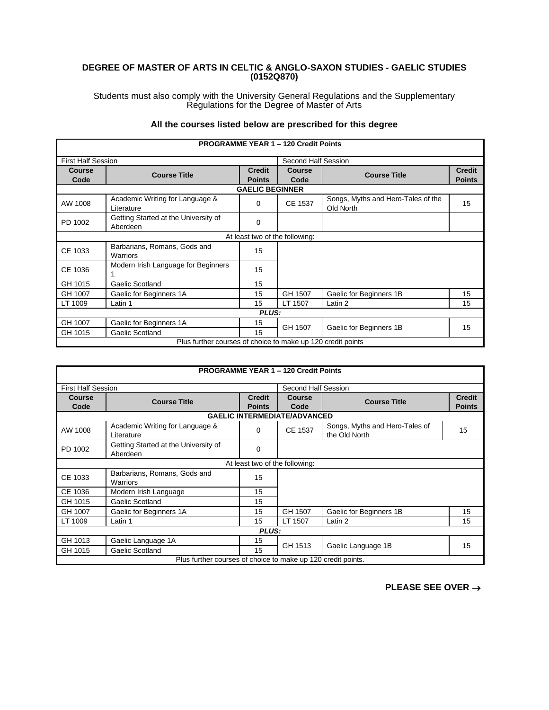## **DEGREE OF MASTER OF ARTS IN CELTIC & ANGLO-SAXON STUDIES - GAELIC STUDIES (0152Q870)**

Students must also comply with the University General Regulations and the Supplementary Regulations for the Degree of Master of Arts

|                           |                                                             |                                | <b>PROGRAMME YEAR 1 - 120 Credit Points</b> |                                                 |                                |
|---------------------------|-------------------------------------------------------------|--------------------------------|---------------------------------------------|-------------------------------------------------|--------------------------------|
| <b>First Half Session</b> |                                                             |                                | Second Half Session                         |                                                 |                                |
| Course<br>Code            | <b>Course Title</b>                                         | <b>Credit</b><br><b>Points</b> | Course<br>Code                              | <b>Course Title</b>                             | <b>Credit</b><br><b>Points</b> |
|                           |                                                             | <b>GAELIC BEGINNER</b>         |                                             |                                                 |                                |
| AW 1008                   | Academic Writing for Language &<br>Literature               | $\Omega$                       | CE 1537                                     | Songs, Myths and Hero-Tales of the<br>Old North | 15                             |
| PD 1002                   | Getting Started at the University of<br>Aberdeen            | 0                              |                                             |                                                 |                                |
|                           |                                                             |                                | At least two of the following:              |                                                 |                                |
| CE 1033                   | Barbarians, Romans, Gods and<br>Warriors                    | 15                             |                                             |                                                 |                                |
| CE 1036                   | Modern Irish Language for Beginners                         | 15                             |                                             |                                                 |                                |
| GH 1015                   | Gaelic Scotland                                             | 15                             |                                             |                                                 |                                |
| GH 1007                   | Gaelic for Beginners 1A                                     | 15                             | GH 1507                                     | Gaelic for Beginners 1B                         | 15                             |
| LT 1009                   | Latin 1                                                     | 15                             | LT 1507                                     | Latin 2                                         | 15                             |
|                           |                                                             | PLUS:                          |                                             |                                                 |                                |
| GH 1007                   | Gaelic for Beginners 1A                                     | 15                             | GH 1507                                     | Gaelic for Beginners 1B                         | 15                             |
| GH 1015                   | Gaelic Scotland                                             | 15                             |                                             |                                                 |                                |
|                           | Plus further courses of choice to make up 120 credit points |                                |                                             |                                                 |                                |

## **All the courses listed below are prescribed for this degree**

| <b>PROGRAMME YEAR 1 - 120 Credit Points</b>                  |                                                  |                                |                                     |                                                 |                                |  |  |
|--------------------------------------------------------------|--------------------------------------------------|--------------------------------|-------------------------------------|-------------------------------------------------|--------------------------------|--|--|
|                                                              | <b>First Half Session</b><br>Second Half Session |                                |                                     |                                                 |                                |  |  |
| <b>Course</b><br>Code                                        | <b>Course Title</b>                              | <b>Credit</b><br><b>Points</b> | <b>Course</b><br>Code               | <b>Course Title</b>                             | <b>Credit</b><br><b>Points</b> |  |  |
|                                                              |                                                  |                                | <b>GAELIC INTERMEDIATE/ADVANCED</b> |                                                 |                                |  |  |
| AW 1008                                                      | Academic Writing for Language &<br>Literature    | 0                              | CE 1537                             | Songs, Myths and Hero-Tales of<br>the Old North | 15                             |  |  |
| PD 1002                                                      | Getting Started at the University of<br>Aberdeen | 0                              |                                     |                                                 |                                |  |  |
|                                                              |                                                  | At least two of the following: |                                     |                                                 |                                |  |  |
| CE 1033                                                      | Barbarians, Romans, Gods and<br><b>Warriors</b>  | 15                             |                                     |                                                 |                                |  |  |
| CE 1036                                                      | Modern Irish Language                            | 15                             |                                     |                                                 |                                |  |  |
| GH 1015                                                      | Gaelic Scotland                                  | 15                             |                                     |                                                 |                                |  |  |
| GH 1007                                                      | Gaelic for Beginners 1A                          | 15                             | GH 1507                             | Gaelic for Beginners 1B                         | 15                             |  |  |
| LT 1009                                                      | Latin 1                                          | 15                             | LT 1507                             | Latin 2                                         | 15                             |  |  |
| <b>PLUS:</b>                                                 |                                                  |                                |                                     |                                                 |                                |  |  |
| GH 1013                                                      | Gaelic Language 1A                               | 15                             | GH 1513                             |                                                 | 15                             |  |  |
| GH 1015                                                      | Gaelic Scotland                                  | 15                             |                                     | Gaelic Language 1B                              |                                |  |  |
| Plus further courses of choice to make up 120 credit points. |                                                  |                                |                                     |                                                 |                                |  |  |

**PLEASE SEE OVER** →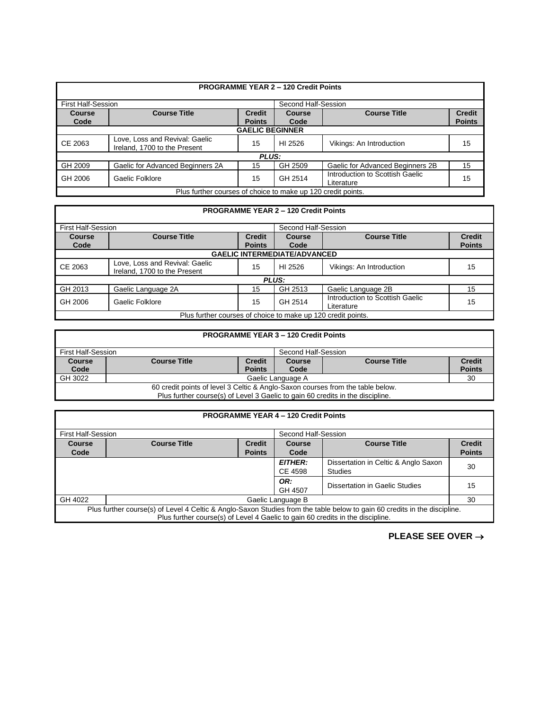|                                                              |                                                                |                                | <b>PROGRAMME YEAR 2 - 120 Credit Points</b> |                                               |                                |  |  |
|--------------------------------------------------------------|----------------------------------------------------------------|--------------------------------|---------------------------------------------|-----------------------------------------------|--------------------------------|--|--|
| <b>First Half-Session</b><br>Second Half-Session             |                                                                |                                |                                             |                                               |                                |  |  |
| Course<br>Code                                               | <b>Course Title</b>                                            | <b>Credit</b><br><b>Points</b> | Course<br>Code                              | <b>Course Title</b>                           | <b>Credit</b><br><b>Points</b> |  |  |
|                                                              | <b>GAELIC BEGINNER</b>                                         |                                |                                             |                                               |                                |  |  |
| CE 2063                                                      | Love, Loss and Revival: Gaelic<br>Ireland, 1700 to the Present | 15                             | HI 2526                                     | Vikings: An Introduction                      | 15                             |  |  |
|                                                              |                                                                | <b>PLUS:</b>                   |                                             |                                               |                                |  |  |
| GH 2009                                                      | Gaelic for Advanced Beginners 2A                               | 15                             | GH 2509                                     | Gaelic for Advanced Beginners 2B              | 15                             |  |  |
| GH 2006                                                      | Gaelic Folklore                                                | 15                             | GH 2514                                     | Introduction to Scottish Gaelic<br>Literature | 15                             |  |  |
| Plus further courses of choice to make up 120 credit points. |                                                                |                                |                                             |                                               |                                |  |  |

| <b>PROGRAMME YEAR 2 - 120 Credit Points</b>                  |                                                                |                                |                       |                                               |                                |  |
|--------------------------------------------------------------|----------------------------------------------------------------|--------------------------------|-----------------------|-----------------------------------------------|--------------------------------|--|
| <b>First Half-Session</b>                                    |                                                                |                                | Second Half-Session   |                                               |                                |  |
| Course<br>Code                                               | <b>Course Title</b>                                            | <b>Credit</b><br><b>Points</b> | <b>Course</b><br>Code | <b>Course Title</b>                           | <b>Credit</b><br><b>Points</b> |  |
|                                                              | <b>GAELIC INTERMEDIATE/ADVANCED</b>                            |                                |                       |                                               |                                |  |
| CE 2063                                                      | Love, Loss and Revival: Gaelic<br>Ireland, 1700 to the Present | 15                             | HI 2526               | Vikings: An Introduction                      | 15                             |  |
| <b>PLUS:</b>                                                 |                                                                |                                |                       |                                               |                                |  |
| GH 2013                                                      | Gaelic Language 2A                                             | 15                             | GH 2513               | Gaelic Language 2B                            | 15                             |  |
| GH 2006                                                      | Gaelic Folklore                                                | 15                             | GH 2514               | Introduction to Scottish Gaelic<br>Literature | 15                             |  |
| Plus further courses of choice to make up 120 credit points. |                                                                |                                |                       |                                               |                                |  |

| <b>PROGRAMME YEAR 3 - 120 Credit Points</b>                                    |                                                                                        |               |      |  |               |  |
|--------------------------------------------------------------------------------|----------------------------------------------------------------------------------------|---------------|------|--|---------------|--|
|                                                                                | First Half-Session<br>Second Half-Session                                              |               |      |  |               |  |
| <b>Course</b><br>Code                                                          | <b>Credit</b><br><b>Credit</b><br><b>Course Title</b><br><b>Course Title</b><br>Course |               |      |  |               |  |
|                                                                                |                                                                                        | <b>Points</b> | Code |  | <b>Points</b> |  |
| GH 3022                                                                        | Gaelic Language A<br>30                                                                |               |      |  |               |  |
| 60 credit points of level 3 Celtic & Anglo-Saxon courses from the table below. |                                                                                        |               |      |  |               |  |
|                                                                                | Plus further course(s) of Level 3 Gaelic to gain 60 credits in the discipline.         |               |      |  |               |  |

|         | <b>PROGRAMME YEAR 4 - 120 Credit Points</b>                                                                               |               |                |                                       |               |  |
|---------|---------------------------------------------------------------------------------------------------------------------------|---------------|----------------|---------------------------------------|---------------|--|
|         | <b>First Half-Session</b><br>Second Half-Session                                                                          |               |                |                                       |               |  |
| Course  | <b>Course Title</b><br><b>Course Title</b><br><b>Credit</b><br>Course                                                     |               |                |                                       | <b>Credit</b> |  |
| Code    |                                                                                                                           | <b>Points</b> | Code           |                                       | <b>Points</b> |  |
|         |                                                                                                                           |               | <b>EITHER:</b> | Dissertation in Celtic & Anglo Saxon  |               |  |
|         |                                                                                                                           | CE 4598       | <b>Studies</b> | 30                                    |               |  |
|         | OR:                                                                                                                       |               |                |                                       |               |  |
|         |                                                                                                                           |               | GH 4507        | <b>Dissertation in Gaelic Studies</b> | 15            |  |
| GH 4022 | Gaelic Language B<br>30                                                                                                   |               |                |                                       |               |  |
|         | Plus further course(s) of Level 4 Celtic & Anglo-Saxon Studies from the table below to gain 60 credits in the discipline. |               |                |                                       |               |  |
|         | Plus further course(s) of Level 4 Gaelic to gain 60 credits in the discipline.                                            |               |                |                                       |               |  |

**PLEASE SEE OVER** →